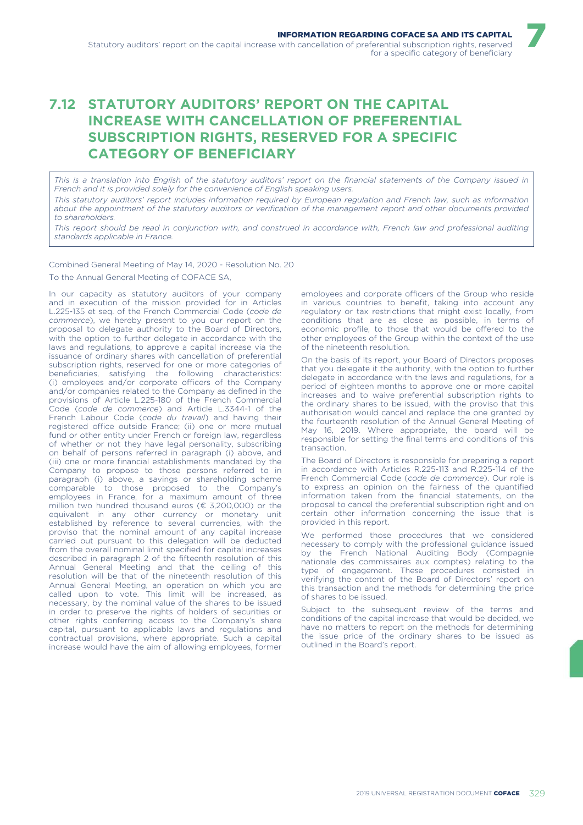## **7.12 STATUTORY AUDITORS' REPORT ON THE CAPITAL INCREASE WITH CANCELLATION OF PREFERENTIAL SUBSCRIPTION RIGHTS, RESERVED FOR A SPECIFIC CATEGORY OF BENEFICIARY**

*This is a translation into English of the statutory auditors' report on the financial statements of the Company issued in French and it is provided solely for the convenience of English speaking users.*

*This statutory auditors' report includes information required by European regulation and French law, such as information about the appointment of the statutory auditors or verification of the management report and other documents provided to shareholders.*

*This report should be read in conjunction with, and construed in accordance with, French law and professional auditing standards applicable in France.*

Combined General Meeting of May 14, 2020 - Resolution No. 20 To the Annual General Meeting of COFACE SA,

In our capacity as statutory auditors of your company and in execution of the mission provided for in Articles L.225-135 et seq. of the French Commercial Code (*code de commerce*), we hereby present to you our report on the proposal to delegate authority to the Board of Directors, with the option to further delegate in accordance with the laws and regulations, to approve a capital increase via the issuance of ordinary shares with cancellation of preferential subscription rights, reserved for one or more categories of beneficiaries, satisfying the following characteristics: (i) employees and/or corporate officers of the Company and/or companies related to the Company as defined in the provisions of Article L.225-180 of the French Commercial Code (*code de commerce*) and Article L.3344-1 of the French Labour Code (*code du travail*) and having their registered office outside France; (ii) one or more mutual fund or other entity under French or foreign law, regardless of whether or not they have legal personality, subscribing on behalf of persons referred in paragraph (i) above, and (iii) one or more financial establishments mandated by the Company to propose to those persons referred to in paragraph (i) above, a savings or shareholding scheme comparable to those proposed to the Company's employees in France, for a maximum amount of three million two hundred thousand euros (€ 3,200,000) or the equivalent in any other currency or monetary unit established by reference to several currencies, with the proviso that the nominal amount of any capital increase carried out pursuant to this delegation will be deducted from the overall nominal limit specified for capital increases described in paragraph 2 of the fifteenth resolution of this Annual General Meeting and that the ceiling of this resolution will be that of the nineteenth resolution of this Annual General Meeting, an operation on which you are called upon to vote. This limit will be increased, as necessary, by the nominal value of the shares to be issued in order to preserve the rights of holders of securities or other rights conferring access to the Company's share capital, pursuant to applicable laws and regulations and contractual provisions, where appropriate. Such a capital increase would have the aim of allowing employees, former

employees and corporate officers of the Group who reside in various countries to benefit, taking into account any regulatory or tax restrictions that might exist locally, from conditions that are as close as possible, in terms of economic profile, to those that would be offered to the other employees of the Group within the context of the use of the nineteenth resolution.

7

On the basis of its report, your Board of Directors proposes that you delegate it the authority, with the option to further delegate in accordance with the laws and regulations, for a period of eighteen months to approve one or more capital increases and to waive preferential subscription rights to the ordinary shares to be issued, with the proviso that this authorisation would cancel and replace the one granted by the fourteenth resolution of the Annual General Meeting of May 16, 2019. Where appropriate, the board will be responsible for setting the final terms and conditions of this transaction.

The Board of Directors is responsible for preparing a report in accordance with Articles R.225-113 and R.225-114 of the French Commercial Code (*code de commerce*). Our role is to express an opinion on the fairness of the quantified information taken from the financial statements, on the proposal to cancel the preferential subscription right and on certain other information concerning the issue that is provided in this report.

We performed those procedures that we considered necessary to comply with the professional guidance issued by the French National Auditing Body (Compagnie nationale des commissaires aux comptes) relating to the type of engagement. These procedures consisted in verifying the content of the Board of Directors' report on this transaction and the methods for determining the price of shares to be issued.

Subject to the subsequent review of the terms and conditions of the capital increase that would be decided, we have no matters to report on the methods for determining the issue price of the ordinary shares to be issued as outlined in the Board's report.